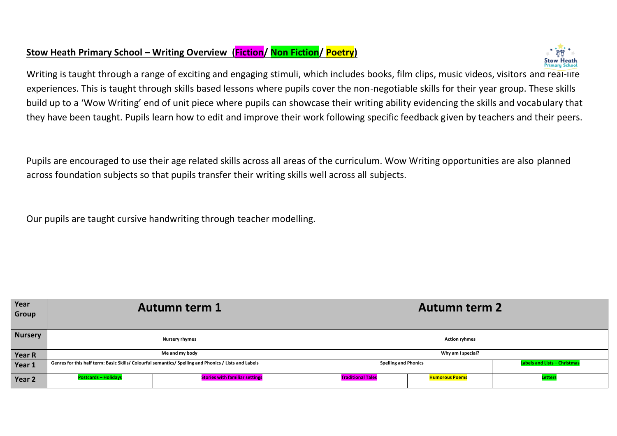## **Stow Heath Primary School – Writing Overview (Fiction/ Non Fiction/ Poetry)**



Writing is taught through a range of exciting and engaging stimuli, which includes books, film clips, music videos, visitors and real-life experiences. This is taught through skills based lessons where pupils cover the non-negotiable skills for their year group. These skills build up to a 'Wow Writing' end of unit piece where pupils can showcase their writing ability evidencing the skills and vocabulary that they have been taught. Pupils learn how to edit and improve their work following specific feedback given by teachers and their peers.

Pupils are encouraged to use their age related skills across all areas of the curriculum. Wow Writing opportunities are also planned across foundation subjects so that pupils transfer their writing skills well across all subjects.

Our pupils are taught cursive handwriting through teacher modelling.

| Year<br>Group  |                             | <b>Autumn term 1</b>                                                                                  | <b>Autumn term 2</b>        |                       |                                     |
|----------------|-----------------------------|-------------------------------------------------------------------------------------------------------|-----------------------------|-----------------------|-------------------------------------|
| <b>Nursery</b> |                             | <b>Nursery rhymes</b>                                                                                 | <b>Action ryhmes</b>        |                       |                                     |
| <b>Year R</b>  |                             | Me and my body                                                                                        |                             | Why am I special?     |                                     |
| Year 1         |                             | Genres for this half term: Basic Skills/ Colourful semantics/ Spelling and Phonics / Lists and Labels | <b>Spelling and Phonics</b> |                       | <b>Labels and Lists - Christmas</b> |
| Year 2         | <b>Postcards - Holidays</b> | <b>Stories with familiar settings</b>                                                                 | <b>Traditional Tales</b>    | <b>Humorous Poems</b> | Letter:                             |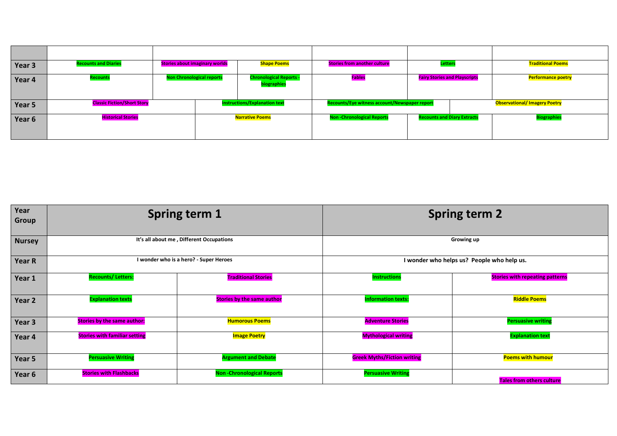| Year 3 | <b>Recounts and Diaries</b>        | <b>Stories about imaginary worlds</b> | <b>Shape Poems</b>                            | <b>Stories from another culture</b>           | Letter                               | <b>Traditional Poems</b>             |
|--------|------------------------------------|---------------------------------------|-----------------------------------------------|-----------------------------------------------|--------------------------------------|--------------------------------------|
| Year 4 | <b>Recounts</b>                    | <b>Non Chronological reports</b>      | <b>Chronological Reports -</b><br>biographies | <b>Fables</b>                                 | <b>Fairy Stories and Playscripts</b> | <b>Performance poetry</b>            |
| Year 5 | <b>Classic Fiction/Short Story</b> |                                       | <b>Instructions/Explanation text</b>          | Recounts/Eye witness account/Newspaper report |                                      | <b>Observational/ Imagery Poetry</b> |
| Year 6 | <b>Historical Stories</b>          |                                       | <b>Narrative Poems</b>                        | <b>Non-Chronological Reports</b>              | <b>Recounts and Diary Extracts</b>   | <b>Biographies</b>                   |

| Year<br>Group |                                      | <b>Spring term 1</b>                     |                                    | <b>Spring term 2</b>                       |
|---------------|--------------------------------------|------------------------------------------|------------------------------------|--------------------------------------------|
| <b>Nursey</b> |                                      | It's all about me, Different Occupations |                                    | Growing up                                 |
| Year R        |                                      | I wonder who is a hero? - Super Heroes   |                                    | I wonder who helps us? People who help us. |
| Year 1        | <b>Recounts/Letters:</b>             | <b>Traditional Stories</b>               | <b>Instructions</b>                | <b>Stories with repeating patterns</b>     |
| Year 2        | <b>Explanation texts</b>             | <b>Stories by the same author</b>        | <b>Information texts:</b>          | <b>Riddle Poems</b>                        |
| Year 3        | <b>Stories by the same author:</b>   | <b>Humorous Poems</b>                    | <b>Adventure Stories</b>           | <b>Persuasive writing</b>                  |
| Year 4        | <b>Stories with familiar setting</b> | <b>Image Poetry</b>                      | <b>Mythological writing</b>        | <b>Explanation text</b>                    |
| Year 5        | <b>Persuasive Writing</b>            | <b>Argument and Debate</b>               | <b>Greek Myths/Fiction writing</b> | <b>Poems with humour</b>                   |
| Year 6        | <b>Stories with Flashbacks</b>       | <b>Non-Chronological Reports</b>         | <b>Persuasive Writing</b>          | <b>Tales from others culture</b>           |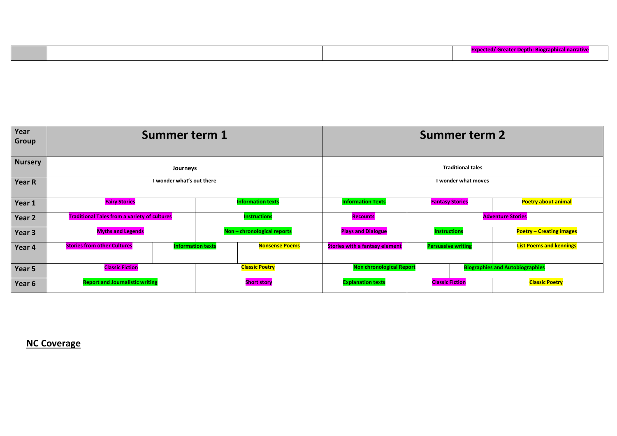| Year<br><b>Group</b> | Summer term 1                                       |                          |                                 |                             |                                        | <b>Summer term 2</b>      |                                 |  |
|----------------------|-----------------------------------------------------|--------------------------|---------------------------------|-----------------------------|----------------------------------------|---------------------------|---------------------------------|--|
| <b>Nursery</b>       |                                                     | Journeys                 |                                 |                             |                                        | <b>Traditional tales</b>  |                                 |  |
| Year R               | I wonder what's out there                           |                          |                                 |                             | I wonder what moves                    |                           |                                 |  |
| Year 1               | <b>Fairy Stories</b>                                |                          |                                 | <b>Information texts</b>    | <b>Information Texts</b>               | <b>Fantasy Stories</b>    | <b>Poetry about animal</b>      |  |
| Year 2               | <b>Traditional Tales from a variety of cultures</b> |                          |                                 | <b>Instructions</b>         | <b>Recounts</b>                        | <b>Adventure Stories</b>  |                                 |  |
| Year 3               | <b>Myths and Legends</b>                            |                          |                                 | Non - chronological reports | <b>Plays and Dialogue</b>              | <b>Instructions</b>       | <b>Poetry - Creating images</b> |  |
| Year 4               | <b>Stories from other Cultures</b>                  | <b>Information texts</b> |                                 | <b>Nonsense Poems</b>       | <b>Stories with a fantasy element</b>  | <b>Persuasive writing</b> | <b>List Poems and kennings</b>  |  |
| Year 5               | <b>Classic Poetry</b><br><b>Classic Fiction</b>     |                          | <b>Non chronological Report</b> |                             | <b>Biographies and Autobiographies</b> |                           |                                 |  |
| Year 6               | <b>Report and Journalistic writing</b>              |                          |                                 | <b>Short story</b>          | <b>Explanation texts</b>               | <b>Classic Fiction</b>    | <b>Classic Poetry</b>           |  |

**NC Coverage**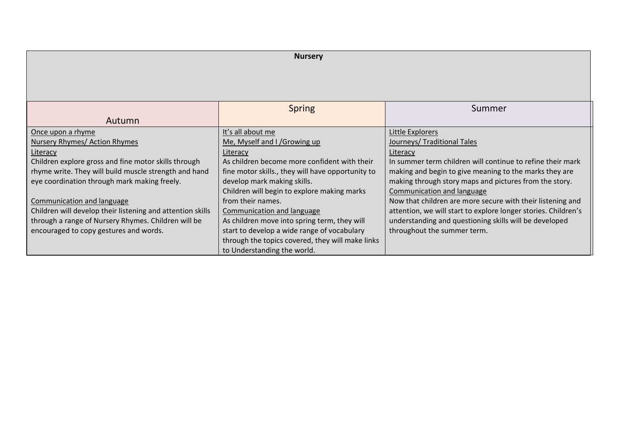| <b>Nursery</b>                                             |                                                   |                                                                |  |
|------------------------------------------------------------|---------------------------------------------------|----------------------------------------------------------------|--|
|                                                            |                                                   |                                                                |  |
|                                                            |                                                   |                                                                |  |
|                                                            |                                                   |                                                                |  |
|                                                            |                                                   |                                                                |  |
|                                                            | <b>Spring</b>                                     | Summer                                                         |  |
| Autumn                                                     |                                                   |                                                                |  |
| Once upon a rhyme                                          | It's all about me                                 | Little Explorers                                               |  |
| Nursery Rhymes/ Action Rhymes                              | Me, Myself and I / Growing up                     | Journeys/ Traditional Tales                                    |  |
| Literacy                                                   | Literacy                                          | Literacy                                                       |  |
| Children explore gross and fine motor skills through       | As children become more confident with their      | In summer term children will continue to refine their mark     |  |
| rhyme write. They will build muscle strength and hand      | fine motor skills., they will have opportunity to | making and begin to give meaning to the marks they are         |  |
| eye coordination through mark making freely.               | develop mark making skills.                       | making through story maps and pictures from the story.         |  |
|                                                            | Children will begin to explore making marks       | Communication and language                                     |  |
| Communication and language                                 | from their names.                                 | Now that children are more secure with their listening and     |  |
| Children will develop their listening and attention skills | Communication and language                        | attention, we will start to explore longer stories. Children's |  |
| through a range of Nursery Rhymes. Children will be        | As children move into spring term, they will      | understanding and questioning skills will be developed         |  |
| encouraged to copy gestures and words.                     | start to develop a wide range of vocabulary       | throughout the summer term.                                    |  |
|                                                            | through the topics covered, they will make links  |                                                                |  |
|                                                            | to Understanding the world.                       |                                                                |  |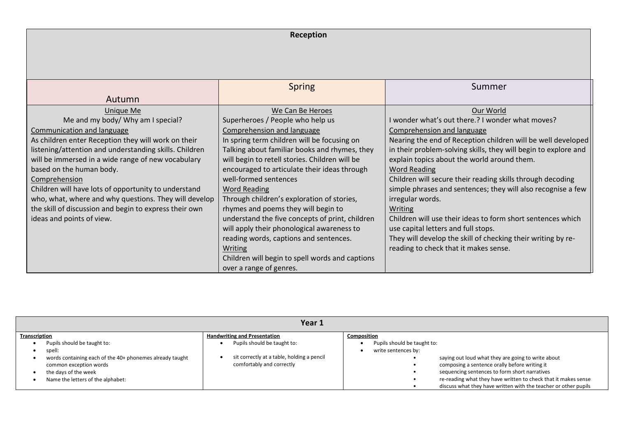|                                                                                                                                             | Reception                                                                                                                  |                                                                                                                                                               |  |  |  |
|---------------------------------------------------------------------------------------------------------------------------------------------|----------------------------------------------------------------------------------------------------------------------------|---------------------------------------------------------------------------------------------------------------------------------------------------------------|--|--|--|
|                                                                                                                                             |                                                                                                                            |                                                                                                                                                               |  |  |  |
|                                                                                                                                             | <b>Spring</b>                                                                                                              | Summer                                                                                                                                                        |  |  |  |
| Autumn                                                                                                                                      |                                                                                                                            |                                                                                                                                                               |  |  |  |
| <b>Unique Me</b><br>Me and my body/ Why am I special?                                                                                       | We Can Be Heroes<br>Superheroes / People who help us                                                                       | Our World<br>I wonder what's out there.? I wonder what moves?                                                                                                 |  |  |  |
| Communication and language<br>As children enter Reception they will work on their<br>listening/attention and understanding skills. Children | Comprehension and language<br>In spring term children will be focusing on<br>Talking about familiar books and rhymes, they | Comprehension and language<br>Nearing the end of Reception children will be well developed<br>in their problem-solving skills, they will begin to explore and |  |  |  |
| will be immersed in a wide range of new vocabulary<br>based on the human body.                                                              | will begin to retell stories. Children will be<br>encouraged to articulate their ideas through                             | explain topics about the world around them.<br><b>Word Reading</b>                                                                                            |  |  |  |
| Comprehension<br>Children will have lots of opportunity to understand                                                                       | well-formed sentences<br><b>Word Reading</b>                                                                               | Children will secure their reading skills through decoding<br>simple phrases and sentences; they will also recognise a few                                    |  |  |  |
| who, what, where and why questions. They will develop<br>the skill of discussion and begin to express their own                             | Through children's exploration of stories,<br>rhymes and poems they will begin to                                          | irregular words.<br>Writing                                                                                                                                   |  |  |  |
| ideas and points of view.                                                                                                                   | understand the five concepts of print, children<br>will apply their phonological awareness to                              | Children will use their ideas to form short sentences which<br>use capital letters and full stops.                                                            |  |  |  |
|                                                                                                                                             | reading words, captions and sentences.<br>Writing                                                                          | They will develop the skill of checking their writing by re-<br>reading to check that it makes sense.                                                         |  |  |  |
|                                                                                                                                             | Children will begin to spell words and captions<br>over a range of genres.                                                 |                                                                                                                                                               |  |  |  |

| Year 1                                                                                                                                                                                   |                                                                                                        |                                                                                                                                                                                                                                                                                                                                                 |  |  |
|------------------------------------------------------------------------------------------------------------------------------------------------------------------------------------------|--------------------------------------------------------------------------------------------------------|-------------------------------------------------------------------------------------------------------------------------------------------------------------------------------------------------------------------------------------------------------------------------------------------------------------------------------------------------|--|--|
| Transcription                                                                                                                                                                            | <b>Handwriting and Presentation</b>                                                                    | Composition                                                                                                                                                                                                                                                                                                                                     |  |  |
| Pupils should be taught to:<br>spell:<br>words containing each of the 40+ phonemes already taught<br>common exception words<br>the days of the week<br>Name the letters of the alphabet: | Pupils should be taught to:<br>sit correctly at a table, holding a pencil<br>comfortably and correctly | Pupils should be taught to:<br>write sentences by:<br>saying out loud what they are going to write about<br>composing a sentence orally before writing it<br>sequencing sentences to form short narratives<br>re-reading what they have written to check that it makes sense<br>discuss what they have written with the teacher or other pupils |  |  |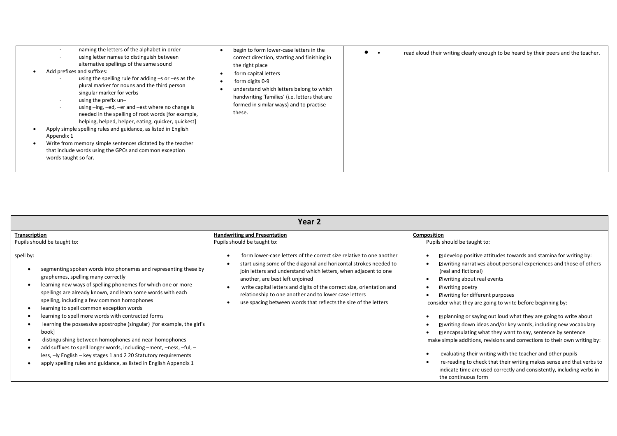| naming the letters of the alphabet in order<br>using letter names to distinguish between<br>alternative spellings of the same sound<br>Add prefixes and suffixes:<br>using the spelling rule for adding $-s$ or $-es$ as the<br>plural marker for nouns and the third person<br>singular marker for verbs<br>using the prefix un-<br>using -ing, -ed, -er and -est where no change is<br>needed in the spelling of root words [for example,<br>helping, helped, helper, eating, quicker, quickest]<br>Apply simple spelling rules and guidance, as listed in English<br>Appendix 1<br>Write from memory simple sentences dictated by the teacher<br>that include words using the GPCs and common exception<br>words taught so far. | begin to form lower-case letters in the<br>correct direction, starting and finishing in<br>the right place<br>form capital letters<br>form digits 0-9<br>understand which letters belong to which<br>handwriting 'families' (i.e. letters that are<br>formed in similar ways) and to practise<br>these. | $\bullet$<br>read aloud their writing clearly enough to be heard by their peers and the teacher. |
|------------------------------------------------------------------------------------------------------------------------------------------------------------------------------------------------------------------------------------------------------------------------------------------------------------------------------------------------------------------------------------------------------------------------------------------------------------------------------------------------------------------------------------------------------------------------------------------------------------------------------------------------------------------------------------------------------------------------------------|---------------------------------------------------------------------------------------------------------------------------------------------------------------------------------------------------------------------------------------------------------------------------------------------------------|--------------------------------------------------------------------------------------------------|
|------------------------------------------------------------------------------------------------------------------------------------------------------------------------------------------------------------------------------------------------------------------------------------------------------------------------------------------------------------------------------------------------------------------------------------------------------------------------------------------------------------------------------------------------------------------------------------------------------------------------------------------------------------------------------------------------------------------------------------|---------------------------------------------------------------------------------------------------------------------------------------------------------------------------------------------------------------------------------------------------------------------------------------------------------|--------------------------------------------------------------------------------------------------|

| Year 2                                                                                                                                                                                                                                                                                                                                                                                                                                                                                                                                                                                                                                                                                                                                                          |                                                                                                                                                                                                                                                                                                                                                                                                                                                     |                                                                                                                                                                                                                                                                                                                                                                                                                                                                                                                                                                                                                                                                                                                                                                                                                                                                                 |  |  |  |
|-----------------------------------------------------------------------------------------------------------------------------------------------------------------------------------------------------------------------------------------------------------------------------------------------------------------------------------------------------------------------------------------------------------------------------------------------------------------------------------------------------------------------------------------------------------------------------------------------------------------------------------------------------------------------------------------------------------------------------------------------------------------|-----------------------------------------------------------------------------------------------------------------------------------------------------------------------------------------------------------------------------------------------------------------------------------------------------------------------------------------------------------------------------------------------------------------------------------------------------|---------------------------------------------------------------------------------------------------------------------------------------------------------------------------------------------------------------------------------------------------------------------------------------------------------------------------------------------------------------------------------------------------------------------------------------------------------------------------------------------------------------------------------------------------------------------------------------------------------------------------------------------------------------------------------------------------------------------------------------------------------------------------------------------------------------------------------------------------------------------------------|--|--|--|
| <b>Transcription</b><br>Pupils should be taught to:                                                                                                                                                                                                                                                                                                                                                                                                                                                                                                                                                                                                                                                                                                             | <b>Handwriting and Presentation</b><br>Pupils should be taught to:                                                                                                                                                                                                                                                                                                                                                                                  | Composition<br>Pupils should be taught to:                                                                                                                                                                                                                                                                                                                                                                                                                                                                                                                                                                                                                                                                                                                                                                                                                                      |  |  |  |
| spell by:<br>segmenting spoken words into phonemes and representing these by<br>graphemes, spelling many correctly<br>learning new ways of spelling phonemes for which one or more<br>spellings are already known, and learn some words with each<br>spelling, including a few common homophones<br>learning to spell common exception words<br>learning to spell more words with contracted forms<br>learning the possessive apostrophe (singular) [for example, the girl's<br>book]<br>distinguishing between homophones and near-homophones<br>add suffixes to spell longer words, including -ment, -ness, -ful, -<br>less, -ly English - key stages 1 and 2 20 Statutory requirements<br>apply spelling rules and guidance, as listed in English Appendix 1 | form lower-case letters of the correct size relative to one another<br>start using some of the diagonal and horizontal strokes needed to<br>join letters and understand which letters, when adjacent to one<br>another, are best left unjoined<br>write capital letters and digits of the correct size, orientation and<br>relationship to one another and to lower case letters<br>use spacing between words that reflects the size of the letters | $\mathbb B$ develop positive attitudes towards and stamina for writing by:<br><b>sqrt</b> writing narratives about personal experiences and those of others<br>(real and fictional)<br>I writing about real events<br><b>Z</b> writing poetry<br>■ writing for different purposes<br>consider what they are going to write before beginning by:<br>I planning or saying out loud what they are going to write about<br><b>Z</b> writing down ideas and/or key words, including new vocabulary<br>I encapsulating what they want to say, sentence by sentence<br>make simple additions, revisions and corrections to their own writing by:<br>evaluating their writing with the teacher and other pupils<br>re-reading to check that their writing makes sense and that verbs to<br>indicate time are used correctly and consistently, including verbs in<br>the continuous form |  |  |  |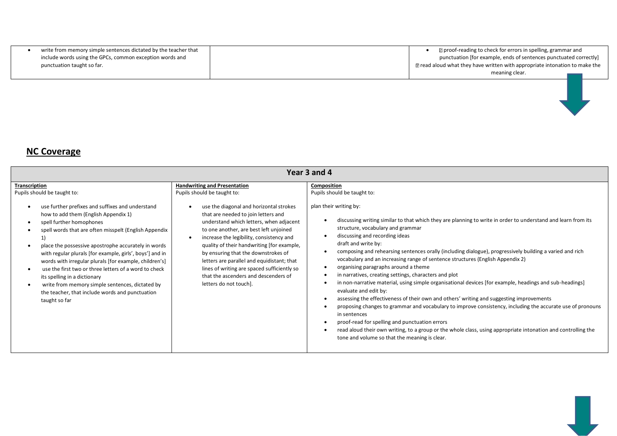| write from memory simple sentences dictated by the teacher that | <b>De</b> proof-reading to check for errors in spelling, grammar and             |
|-----------------------------------------------------------------|----------------------------------------------------------------------------------|
| include words using the GPCs, common exception words and        | punctuation [for example, ends of sentences punctuated correctly]                |
| punctuation taught so far.                                      | $\Box$ read aloud what they have written with appropriate intonation to make the |
|                                                                 | meaning clear.                                                                   |

## **NC Coverage**

| Year 3 and 4                                                                                                                                                                                                                                                                                                                                                                                                                                                                                                                                                                                                                      |                                                                                                                                                                                                                                                                                                                                                                                                                                                                                                                                           |                                                                                                                                                                                                                                                                                                                                                                                                                                                                                                                                                                                                                                                                                                                                                                                                                                                                                                                                                                                                                                                                                                                                                                      |  |  |  |
|-----------------------------------------------------------------------------------------------------------------------------------------------------------------------------------------------------------------------------------------------------------------------------------------------------------------------------------------------------------------------------------------------------------------------------------------------------------------------------------------------------------------------------------------------------------------------------------------------------------------------------------|-------------------------------------------------------------------------------------------------------------------------------------------------------------------------------------------------------------------------------------------------------------------------------------------------------------------------------------------------------------------------------------------------------------------------------------------------------------------------------------------------------------------------------------------|----------------------------------------------------------------------------------------------------------------------------------------------------------------------------------------------------------------------------------------------------------------------------------------------------------------------------------------------------------------------------------------------------------------------------------------------------------------------------------------------------------------------------------------------------------------------------------------------------------------------------------------------------------------------------------------------------------------------------------------------------------------------------------------------------------------------------------------------------------------------------------------------------------------------------------------------------------------------------------------------------------------------------------------------------------------------------------------------------------------------------------------------------------------------|--|--|--|
| <b>Transcription</b><br>Pupils should be taught to:<br>use further prefixes and suffixes and understand<br>how to add them (English Appendix 1)<br>spell further homophones<br>spell words that are often misspelt (English Appendix<br>place the possessive apostrophe accurately in words<br>with regular plurals [for example, girls', boys'] and in<br>words with irregular plurals [for example, children's]<br>use the first two or three letters of a word to check<br>its spelling in a dictionary<br>write from memory simple sentences, dictated by<br>the teacher, that include words and punctuation<br>taught so far | <b>Handwriting and Presentation</b><br>Pupils should be taught to:<br>use the diagonal and horizontal strokes<br>that are needed to join letters and<br>understand which letters, when adjacent<br>to one another, are best left unjoined<br>increase the legibility, consistency and<br>quality of their handwriting [for example,<br>by ensuring that the downstrokes of<br>letters are parallel and equidistant; that<br>lines of writing are spaced sufficiently so<br>that the ascenders and descenders of<br>letters do not touch]. | Composition<br>Pupils should be taught to:<br>plan their writing by:<br>discussing writing similar to that which they are planning to write in order to understand and learn from its<br>structure, vocabulary and grammar<br>discussing and recording ideas<br>draft and write by:<br>composing and rehearsing sentences orally (including dialogue), progressively building a varied and rich<br>vocabulary and an increasing range of sentence structures (English Appendix 2)<br>organising paragraphs around a theme<br>in narratives, creating settings, characters and plot<br>in non-narrative material, using simple organisational devices [for example, headings and sub-headings]<br>evaluate and edit by:<br>assessing the effectiveness of their own and others' writing and suggesting improvements<br>proposing changes to grammar and vocabulary to improve consistency, including the accurate use of pronouns<br>in sentences<br>proof-read for spelling and punctuation errors<br>read aloud their own writing, to a group or the whole class, using appropriate intonation and controlling the<br>tone and volume so that the meaning is clear. |  |  |  |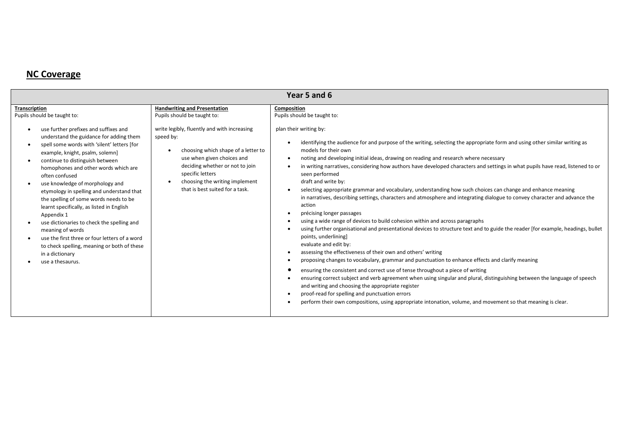## **NC Coverage**

| Year 5 and 6                                                                                                                                                                                                                                                                                                                                                                                                                                                                                                                                                                                                                                                                                     |                                                                                                                                                                                                                                                                                                                                              |                                                                                                                                                                                                                                                                                                                                                                                                                                                                                                                                                                                                                                                                                                                                                                                                                                                                                                                                                                                                                                                                                                                                                                                                                                |  |  |  |  |  |  |
|--------------------------------------------------------------------------------------------------------------------------------------------------------------------------------------------------------------------------------------------------------------------------------------------------------------------------------------------------------------------------------------------------------------------------------------------------------------------------------------------------------------------------------------------------------------------------------------------------------------------------------------------------------------------------------------------------|----------------------------------------------------------------------------------------------------------------------------------------------------------------------------------------------------------------------------------------------------------------------------------------------------------------------------------------------|--------------------------------------------------------------------------------------------------------------------------------------------------------------------------------------------------------------------------------------------------------------------------------------------------------------------------------------------------------------------------------------------------------------------------------------------------------------------------------------------------------------------------------------------------------------------------------------------------------------------------------------------------------------------------------------------------------------------------------------------------------------------------------------------------------------------------------------------------------------------------------------------------------------------------------------------------------------------------------------------------------------------------------------------------------------------------------------------------------------------------------------------------------------------------------------------------------------------------------|--|--|--|--|--|--|
| <b>Transcription</b><br>Pupils should be taught to:<br>use further prefixes and suffixes and<br>understand the guidance for adding them<br>spell some words with 'silent' letters [for<br>example, knight, psalm, solemn]<br>continue to distinguish between<br>homophones and other words which are<br>often confused<br>use knowledge of morphology and<br>etymology in spelling and understand that<br>the spelling of some words needs to be<br>learnt specifically, as listed in English<br>Appendix 1<br>use dictionaries to check the spelling and<br>meaning of words<br>use the first three or four letters of a word<br>to check spelling, meaning or both of these<br>in a dictionary | <b>Handwriting and Presentation</b><br>Pupils should be taught to:<br>write legibly, fluently and with increasing<br>speed by:<br>choosing which shape of a letter to<br>$\bullet$<br>use when given choices and<br>deciding whether or not to join<br>specific letters<br>choosing the writing implement<br>that is best suited for a task. | Composition<br>Pupils should be taught to:<br>plan their writing by:<br>identifying the audience for and purpose of the writing, selecting the appropriate form and using other similar writing as<br>$\bullet$<br>models for their own<br>noting and developing initial ideas, drawing on reading and research where necessary<br>$\bullet$<br>in writing narratives, considering how authors have developed characters and settings in what pupils have read, listened to or<br>$\bullet$<br>seen performed<br>draft and write by:<br>selecting appropriate grammar and vocabulary, understanding how such choices can change and enhance meaning<br>$\bullet$<br>in narratives, describing settings, characters and atmosphere and integrating dialogue to convey character and advance the<br>action<br>précising longer passages<br>$\bullet$<br>using a wide range of devices to build cohesion within and across paragraphs<br>$\bullet$<br>using further organisational and presentational devices to structure text and to guide the reader [for example, headings, bullet<br>$\bullet$<br>points, underlining]<br>evaluate and edit by:<br>assessing the effectiveness of their own and others' writing<br>$\bullet$ |  |  |  |  |  |  |
| use a thesaurus.                                                                                                                                                                                                                                                                                                                                                                                                                                                                                                                                                                                                                                                                                 |                                                                                                                                                                                                                                                                                                                                              | proposing changes to vocabulary, grammar and punctuation to enhance effects and clarify meaning<br>$\bullet$<br>ensuring the consistent and correct use of tense throughout a piece of writing<br>$\bullet$<br>ensuring correct subject and verb agreement when using singular and plural, distinguishing between the language of speech<br>$\bullet$<br>and writing and choosing the appropriate register<br>proof-read for spelling and punctuation errors<br>$\bullet$<br>perform their own compositions, using appropriate intonation, volume, and movement so that meaning is clear.<br>$\bullet$                                                                                                                                                                                                                                                                                                                                                                                                                                                                                                                                                                                                                         |  |  |  |  |  |  |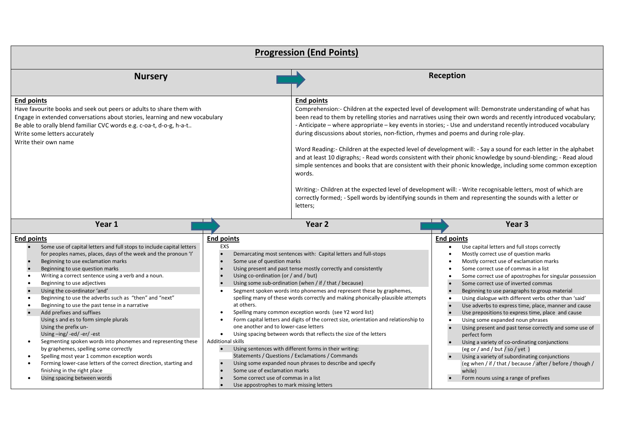| <b>Progression (End Points)</b>                                                                                                                                                                                                                                                                                                                                                                                                                                                                                                                                                                  |                                                                                                                                                                                                           |                                                                                                                                                                                                                                                                                                                                                                                                                                                                                                                                                                                                                                                                                                                                                                                                                                                                                                                                                                                                                                                                      |                                                                                                                                                                                                                                                                                                                                                                                                                                                                                                                                                                                                                                     |  |  |  |  |
|--------------------------------------------------------------------------------------------------------------------------------------------------------------------------------------------------------------------------------------------------------------------------------------------------------------------------------------------------------------------------------------------------------------------------------------------------------------------------------------------------------------------------------------------------------------------------------------------------|-----------------------------------------------------------------------------------------------------------------------------------------------------------------------------------------------------------|----------------------------------------------------------------------------------------------------------------------------------------------------------------------------------------------------------------------------------------------------------------------------------------------------------------------------------------------------------------------------------------------------------------------------------------------------------------------------------------------------------------------------------------------------------------------------------------------------------------------------------------------------------------------------------------------------------------------------------------------------------------------------------------------------------------------------------------------------------------------------------------------------------------------------------------------------------------------------------------------------------------------------------------------------------------------|-------------------------------------------------------------------------------------------------------------------------------------------------------------------------------------------------------------------------------------------------------------------------------------------------------------------------------------------------------------------------------------------------------------------------------------------------------------------------------------------------------------------------------------------------------------------------------------------------------------------------------------|--|--|--|--|
| <b>Nursery</b>                                                                                                                                                                                                                                                                                                                                                                                                                                                                                                                                                                                   |                                                                                                                                                                                                           | Reception                                                                                                                                                                                                                                                                                                                                                                                                                                                                                                                                                                                                                                                                                                                                                                                                                                                                                                                                                                                                                                                            |                                                                                                                                                                                                                                                                                                                                                                                                                                                                                                                                                                                                                                     |  |  |  |  |
| <b>End points</b><br>Have favourite books and seek out peers or adults to share them with<br>Engage in extended conversations about stories, learning and new vocabulary<br>Be able to orally blend familiar CVC words e.g. c-oa-t, d-o-g, h-a-t<br>Write some letters accurately<br>Write their own name                                                                                                                                                                                                                                                                                        |                                                                                                                                                                                                           | <b>End points</b><br>Comprehension:- Children at the expected level of development will: Demonstrate understanding of what has<br>been read to them by retelling stories and narratives using their own words and recently introduced vocabulary;<br>- Anticipate – where appropriate – key events in stories; - Use and understand recently introduced vocabulary<br>during discussions about stories, non-fiction, rhymes and poems and during role-play.<br>Word Reading:- Children at the expected level of development will: - Say a sound for each letter in the alphabet<br>and at least 10 digraphs; - Read words consistent with their phonic knowledge by sound-blending; - Read aloud<br>simple sentences and books that are consistent with their phonic knowledge, including some common exception<br>words.<br>Writing:- Children at the expected level of development will: - Write recognisable letters, most of which are<br>correctly formed; - Spell words by identifying sounds in them and representing the sounds with a letter or<br>letters; |                                                                                                                                                                                                                                                                                                                                                                                                                                                                                                                                                                                                                                     |  |  |  |  |
| Year 1                                                                                                                                                                                                                                                                                                                                                                                                                                                                                                                                                                                           |                                                                                                                                                                                                           | Year <sub>2</sub>                                                                                                                                                                                                                                                                                                                                                                                                                                                                                                                                                                                                                                                                                                                                                                                                                                                                                                                                                                                                                                                    | Year <sub>3</sub>                                                                                                                                                                                                                                                                                                                                                                                                                                                                                                                                                                                                                   |  |  |  |  |
| <b>End points</b><br>Some use of capital letters and full stops to include capital letters<br>for peoples names, places, days of the week and the pronoun 'I'<br>Beginning to use exclamation marks<br>Beginning to use question marks<br>Writing a correct sentence using a verb and a noun.<br>Beginning to use adjectives<br>Using the co-ordinator 'and'<br>Beginning to use the adverbs such as "then" and "next"<br>Beginning to use the past tense in a narrative<br>Add prefixes and suffixes<br>Using s and es to form simple plurals<br>Using the prefix un-<br>Using-ing/-ed/-er/-est | <b>End points</b><br>EXS<br>Some use of question marks<br>Using co-ordination (or / and / but)<br>$\bullet$<br>at others.<br>$\bullet$<br>$\bullet$<br>one another and to lower-case letters<br>$\bullet$ | Demarcating most sentences with: Capital letters and full-stops<br>Using present and past tense mostly correctly and consistently<br>Using some sub-ordination (when / if / that / because)<br>Segment spoken words into phonemes and represent these by graphemes,<br>spelling many of these words correctly and making phonically-plausible attempts<br>Spelling many common exception words (see Y2 word list)<br>Form capital letters and digits of the correct size, orientation and relationship to<br>Using spacing between words that reflects the size of the letters                                                                                                                                                                                                                                                                                                                                                                                                                                                                                       | <b>End points</b><br>Use capital letters and full stops correctly<br>Mostly correct use of question marks<br>Mostly correct use of exclamation marks<br>Some correct use of commas in a list<br>Some correct use of apostrophes for singular possession<br>Some correct use of inverted commas<br>Beginning to use paragraphs to group material<br>Using dialogue with different verbs other than 'said'<br>Use adverbs to express time, place, manner and cause<br>Use prepositions to express time, place and cause<br>Using some expanded noun phrases<br>Using present and past tense correctly and some use of<br>perfect form |  |  |  |  |
| Segmenting spoken words into phonemes and representing these<br>$\bullet$<br>by graphemes, spelling some correctly<br>Spelling most year 1 common exception words<br>Forming lower-case letters of the correct direction, starting and<br>finishing in the right place<br>Using spacing between words<br>$\bullet$                                                                                                                                                                                                                                                                               | <b>Additional skills</b><br>$\bullet$<br>$\bullet$<br>Some use of exclamation marks<br>Some correct use of commas in a list<br>Use appostrophes to mark missing letters                                   | Using sentences with different forms in their writing:<br>Statements / Questions / Exclamations / Commands<br>Using some expanded noun phrases to describe and specify                                                                                                                                                                                                                                                                                                                                                                                                                                                                                                                                                                                                                                                                                                                                                                                                                                                                                               | Using a variety of co-ordinating conjunctions<br>(eg or / and / but / so / yet)<br>Using a variety of subordinating conjunctions<br>(eg when / if / that / because / after / before / though /<br>while)<br>Form nouns using a range of prefixes                                                                                                                                                                                                                                                                                                                                                                                    |  |  |  |  |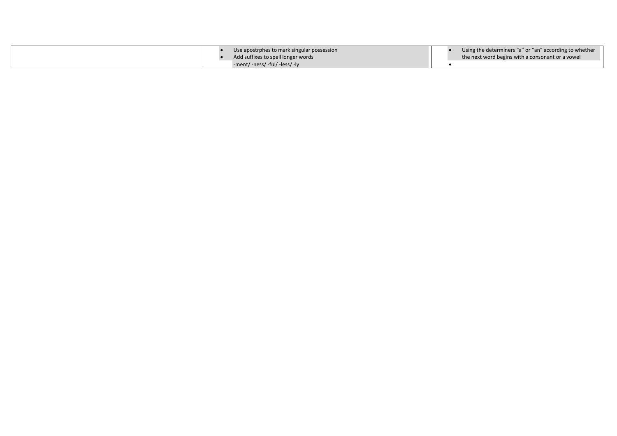|  | Use apostrphes to mark singular possession<br>Add suffixes to spell longer words |  | Using the determiners "a" or "an" according to whether<br>the next word begins with a consonant or a vowel |
|--|----------------------------------------------------------------------------------|--|------------------------------------------------------------------------------------------------------------|
|  | -ment/ -ness/ -ful/ -less/ -ly                                                   |  |                                                                                                            |